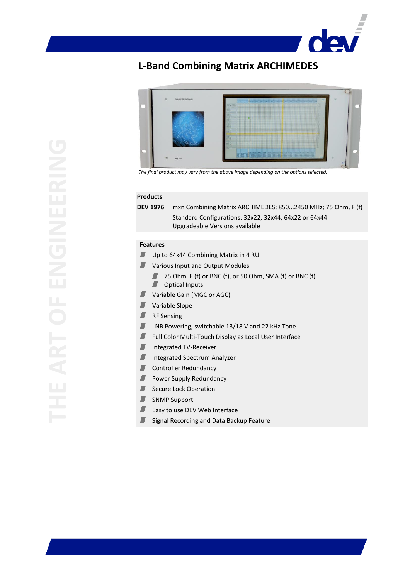# **der**

# **L-Band Combining Matrix ARCHIMEDES**



*The final product may vary from the above image depending on the options selected.*

#### **Products**

**DEV 1976** mxn Combining Matrix ARCHIMEDES; 850...2450 MHz; 75 Ohm, F (f) Standard Configurations: 32x22, 32x44, 64x22 or 64x44 Upgradeable Versions available

#### **Features**

- $\blacksquare$ Up to 64x44 Combining Matrix in 4 RU
- **Various Input and Output Modules** 
	- $\blacksquare$ 75 Ohm, F (f) or BNC (f), or 50 Ohm, SMA (f) or BNC (f)
	- **Department**
- Variable Gain (MGC or AGC)  $\blacksquare$
- $\blacksquare$ Variable Slope
- $\blacksquare$ RF Sensing
- $\blacksquare$ LNB Powering, switchable 13/18 V and 22 kHz Tone
- $\blacksquare$ Full Color Multi-Touch Display as Local User Interface
- $\blacksquare$ Integrated TV-Receiver
- $\blacksquare$ Integrated Spectrum Analyzer
- Controller Redundancy  $\blacksquare$
- $\blacksquare$ Power Supply Redundancy
- $\blacksquare$ Secure Lock Operation
- SNMP Support  $\blacksquare$
- Easy to use DEV Web Interface  $\blacksquare$
- z. Signal Recording and Data Backup Feature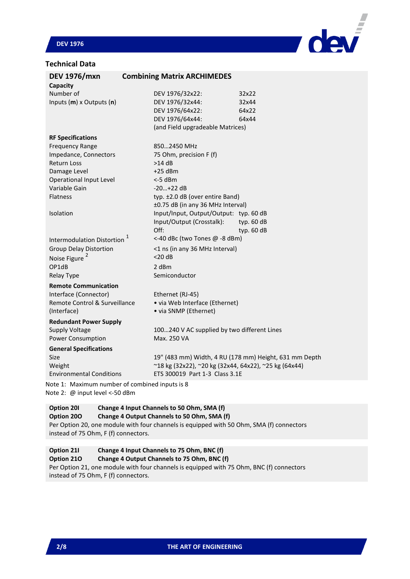# **DEV 1976**

# **Technical Data**



| <b>DEV 1976/mxn</b>                            | <b>Combining Matrix ARCHIMEDES</b>                    |                                                        |
|------------------------------------------------|-------------------------------------------------------|--------------------------------------------------------|
| Capacity                                       |                                                       |                                                        |
| Number of                                      | DEV 1976/32x22:                                       | 32x22                                                  |
| Inputs (m) x Outputs (n)                       | DEV 1976/32x44:                                       | 32x44                                                  |
|                                                | DEV 1976/64x22:                                       | 64x22                                                  |
|                                                | DEV 1976/64x44:                                       | 64x44                                                  |
|                                                | (and Field upgradeable Matrices)                      |                                                        |
| <b>RF Specifications</b>                       |                                                       |                                                        |
| <b>Frequency Range</b>                         | 8502450 MHz                                           |                                                        |
| Impedance, Connectors                          | 75 Ohm, precision F (f)                               |                                                        |
| <b>Return Loss</b>                             | $>14$ dB                                              |                                                        |
| Damage Level                                   | $+25$ dBm                                             |                                                        |
| Operational Input Level                        | <-5 dBm                                               |                                                        |
| Variable Gain                                  | $-20+22$ dB                                           |                                                        |
| Flatness                                       | typ. ±2.0 dB (over entire Band)                       |                                                        |
|                                                | ±0.75 dB (in any 36 MHz Interval)                     |                                                        |
| Isolation                                      | Input/Input, Output/Output: typ. 60 dB                |                                                        |
|                                                | Input/Output (Crosstalk):                             | typ. 60 dB                                             |
|                                                | Off:                                                  | typ. 60 dB                                             |
| <b>Intermodulation Distortion</b>              | <-40 dBc (two Tones @ -8 dBm)                         |                                                        |
| <b>Group Delay Distortion</b>                  | <1 ns (in any 36 MHz Interval)                        |                                                        |
| Noise Figure <sup>2</sup>                      | $<$ 20 dB                                             |                                                        |
| OP1dB                                          | 2 dBm                                                 |                                                        |
| Relay Type                                     | Semiconductor                                         |                                                        |
| <b>Remote Communication</b>                    |                                                       |                                                        |
| Interface (Connector)                          | Ethernet (RJ-45)                                      |                                                        |
| Remote Control & Surveillance                  | • via Web Interface (Ethernet)                        |                                                        |
| (Interface)                                    | • via SNMP (Ethernet)                                 |                                                        |
| <b>Redundant Power Supply</b>                  |                                                       |                                                        |
| <b>Supply Voltage</b>                          | 100240 V AC supplied by two different Lines           |                                                        |
| Power Consumption                              | Max. 250 VA                                           |                                                        |
| <b>General Specifications</b>                  |                                                       |                                                        |
| Size                                           |                                                       | 19" (483 mm) Width, 4 RU (178 mm) Height, 631 mm Depth |
| Weight                                         | ~18 kg (32x22), ~20 kg (32x44, 64x22), ~25 kg (64x44) |                                                        |
| <b>Environmental Conditions</b>                | ETS 300019 Part 1-3 Class 3.1E                        |                                                        |
|                                                |                                                       |                                                        |
| Note 1: Maximum number of combined inputs is 8 |                                                       |                                                        |

Note 2: @ input level <-50 dBm

#### **Option 20I Change 4 Input Channels to 50 Ohm, SMA (f) Option 20O Change 4 Output Channels to 50 Ohm, SMA (f)** Per Option 20, one module with four channels is equipped with 50 Ohm, SMA (f) connectors

instead of 75 Ohm, F (f) connectors.

# **Option 21I Change 4 Input Channels to 75 Ohm, BNC (f)**

#### **Option 21O Change 4 Output Channels to 75 Ohm, BNC (f)**

Per Option 21, one module with four channels is equipped with 75 Ohm, BNC (f) connectors instead of 75 Ohm, F (f) connectors.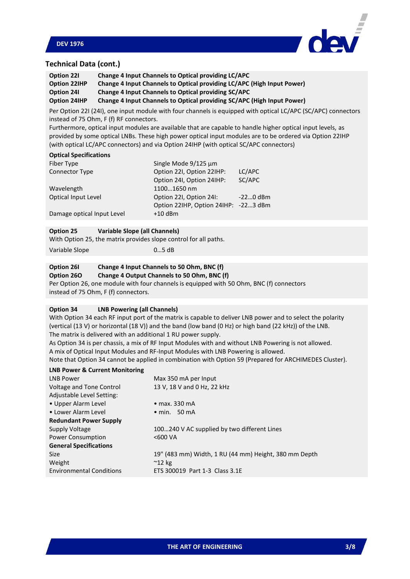



# **Technical Data (cont.)**

| Option 221   | Change 4 Input Channels to Optical providing LC/APC                    |
|--------------|------------------------------------------------------------------------|
| Option 22IHP | Change 4 Input Channels to Optical providing LC/APC (High Input Power) |
| Option 241   | Change 4 Input Channels to Optical providing SC/APC                    |
| Option 24IHP | Change 4 Input Channels to Optical providing SC/APC (High Input Power) |

Per Option 22I (24I), one input module with four channels is equipped with optical LC/APC (SC/APC) connectors instead of 75 Ohm, F (f) RF connectors.

Furthermore, optical input modules are available that are capable to handle higher optical input levels, as provided by some optical LNBs. These high power optical input modules are to be ordered via Option 22IHP (with optical LC/APC connectors) and via Option 24IHP (with optical SC/APC connectors)

#### **Optical Specifications**

| Fiber Type                 | Single Mode 9/125 µm                 |            |
|----------------------------|--------------------------------------|------------|
| Connector Type             | Option 22I, Option 22IHP:            | LC/APC     |
|                            | Option 24I, Option 24IHP:            | SC/APC     |
| Wavelength                 | 11001650 nm                          |            |
| Optical Input Level        | Option 22I, Option 24I:              | $-220$ dBm |
|                            | Option 22IHP, Option 24IHP: -223 dBm |            |
| Damage optical Input Level | $+10$ dBm                            |            |
|                            |                                      |            |

#### **Option 25 Variable Slope (all Channels)**

|                | With Option 25, the matrix provides slope control for all paths. |
|----------------|------------------------------------------------------------------|
| Variable Slope | $05$ dB                                                          |

# **Option 26I Change 4 Input Channels to 50 Ohm, BNC (f)**

# **Option 26O Change 4 Output Channels to 50 Ohm, BNC (f)**

Per Option 26, one module with four channels is equipped with 50 Ohm, BNC (f) connectors instead of 75 Ohm, F (f) connectors.

#### **Option 34 LNB Powering (all Channels)**

With Option 34 each RF input port of the matrix is capable to deliver LNB power and to select the polarity (vertical (13 V) or horizontal (18 V)) and the band (low band (0 Hz) or high band (22 kHz)) of the LNB. The matrix is delivered with an additional 1 RU power supply.

As Option 34 is per chassis, a mix of RF Input Modules with and without LNB Powering is not allowed. A mix of Optical Input Modules and RF-Input Modules with LNB Powering is allowed.

Note that Option 34 cannot be applied in combination with Option 59 (Prepared for ARCHIMEDES Cluster).

#### **LNB Power & Current Monitoring**

| <b>LNB Power</b>                | Max 350 mA per Input                                  |
|---------------------------------|-------------------------------------------------------|
| Voltage and Tone Control        | 13 V, 18 V and 0 Hz, 22 kHz                           |
| Adjustable Level Setting:       |                                                       |
| • Upper Alarm Level             | $\bullet$ max. 330 mA                                 |
| • Lower Alarm Level             | $\bullet$ min. 50 mA                                  |
| <b>Redundant Power Supply</b>   |                                                       |
| Supply Voltage                  | 100240 V AC supplied by two different Lines           |
| <b>Power Consumption</b>        | <600 VA                                               |
| <b>General Specifications</b>   |                                                       |
| <b>Size</b>                     | 19" (483 mm) Width, 1 RU (44 mm) Height, 380 mm Depth |
| Weight                          | $^{\sim}$ 12 kg                                       |
| <b>Environmental Conditions</b> | ETS 300019 Part 1-3 Class 3.1E                        |
|                                 |                                                       |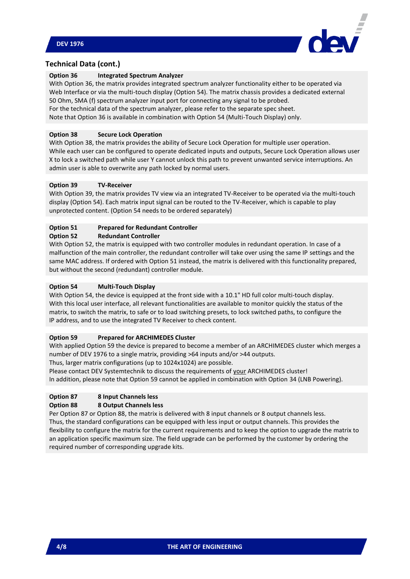

# **Technical Data (cont.)**

#### **Option 36 Integrated Spectrum Analyzer**

With Option 36, the matrix provides integrated spectrum analyzer functionality either to be operated via Web Interface or via the multi-touch display (Option 54). The matrix chassis provides a dedicated external 50 Ohm, SMA (f) spectrum analyzer input port for connecting any signal to be probed. For the technical data of the spectrum analyzer, please refer to the separate spec sheet. Note that Option 36 is available in combination with Option 54 (Multi-Touch Display) only.

#### **Option 38 Secure Lock Operation**

With Option 38, the matrix provides the ability of Secure Lock Operation for multiple user operation. While each user can be configured to operate dedicated inputs and outputs, Secure Lock Operation allows user X to lock a switched path while user Y cannot unlock this path to prevent unwanted service interruptions. An admin user is able to overwrite any path locked by normal users.

#### **Option 39 TV-Receiver**

With Option 39, the matrix provides TV view via an integrated TV-Receiver to be operated via the multi-touch display (Option 54). Each matrix input signal can be routed to the TV-Receiver, which is capable to play unprotected content. (Option 54 needs to be ordered separately)

#### **Option 51 Prepared for Redundant Controller**

#### **Option 52 Redundant Controller**

With Option 52, the matrix is equipped with two controller modules in redundant operation. In case of a malfunction of the main controller, the redundant controller will take over using the same IP settings and the same MAC address. If ordered with Option 51 instead, the matrix is delivered with this functionality prepared, but without the second (redundant) controller module.

#### **Option 54 Multi-Touch Display**

With Option 54, the device is equipped at the front side with a 10.1" HD full color multi-touch display. With this local user interface, all relevant functionalities are available to monitor quickly the status of the matrix, to switch the matrix, to safe or to load switching presets, to lock switched paths, to configure the IP address, and to use the integrated TV Receiver to check content.

#### **Option 59 Prepared for ARCHIMEDES Cluster**

With applied Option 59 the device is prepared to become a member of an ARCHIMEDES cluster which merges a number of DEV 1976 to a single matrix, providing >64 inputs and/or >44 outputs.

Thus, larger matrix configurations (up to 1024x1024) are possible.

Please contact DEV Systemtechnik to discuss the requirements of your ARCHIMEDES cluster! In addition, please note that Option 59 cannot be applied in combination with Option 34 (LNB Powering).

# **Option 87 8 Input Channels less**

#### **Option 88 8 Output Channels less**

Per Option 87 or Option 88, the matrix is delivered with 8 input channels or 8 output channels less. Thus, the standard configurations can be equipped with less input or output channels. This provides the flexibility to configure the matrix for the current requirements and to keep the option to upgrade the matrix to an application specific maximum size. The field upgrade can be performed by the customer by ordering the required number of corresponding upgrade kits.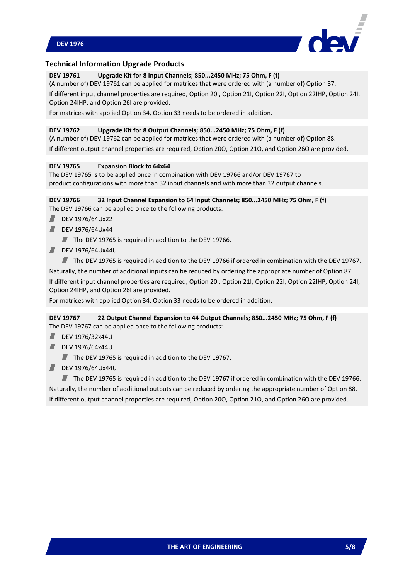

#### **Technical Information Upgrade Products**

#### **DEV 19761 Upgrade Kit for 8 Input Channels; 850...2450 MHz; 75 Ohm, F (f)**

(A number of) DEV 19761 can be applied for matrices that were ordered with (a number of) Option 87.

If different input channel properties are required, Option 20I, Option 21I, Option 22I, Option 22IHP, Option 24I, Option 24IHP, and Option 26I are provided.

For matrices with applied Option 34, Option 33 needs to be ordered in addition.

#### **DEV 19762 Upgrade Kit for 8 Output Channels; 850...2450 MHz; 75 Ohm, F (f)**

(A number of) DEV 19762 can be applied for matrices that were ordered with (a number of) Option 88. If different output channel properties are required, Option 20O, Option 21O, and Option 26O are provided.

#### **DEV 19765 Expansion Block to 64x64**

The DEV 19765 is to be applied once in combination with DEV 19766 and/or DEV 19767 to product configurations with more than 32 input channels and with more than 32 output channels.

#### **DEV 19766 32 Input Channel Expansion to 64 Input Channels; 850...2450 MHz; 75 Ohm, F (f)** The DEV 19766 can be applied once to the following products:

- DEV 1976/64Ux22
- DEV 1976/64Ux44

 $\blacksquare$  The DEV 19765 is required in addition to the DEV 19766.

- **DEV 1976/64Ux44U** 
	- The DEV 19765 is required in addition to the DEV 19766 if ordered in combination with the DEV 19767.

Naturally, the number of additional inputs can be reduced by ordering the appropriate number of Option 87. If different input channel properties are required, Option 20I, Option 21I, Option 22I, Option 22IHP, Option 24I, Option 24IHP, and Option 26I are provided.

For matrices with applied Option 34, Option 33 needs to be ordered in addition.

#### **DEV 19767 22 Output Channel Expansion to 44 Output Channels; 850...2450 MHz; 75 Ohm, F (f)** The DEV 19767 can be applied once to the following products:

- DEV 1976/32x44U
- **DEV 1976/64x44U** 
	- The DEV 19765 is required in addition to the DEV 19767.
- DEV 1976/64Ux44U

The DEV 19765 is required in addition to the DEV 19767 if ordered in combination with the DEV 19766. Naturally, the number of additional outputs can be reduced by ordering the appropriate number of Option 88. If different output channel properties are required, Option 20O, Option 21O, and Option 26O are provided.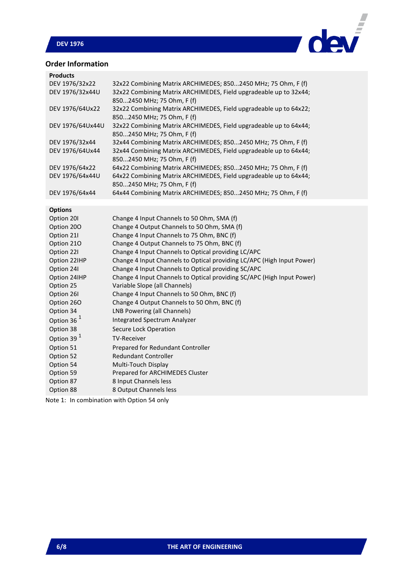# **DEV 1976**



# **Order Information**

| <b>Products</b>        |                                                                                                 |
|------------------------|-------------------------------------------------------------------------------------------------|
| DEV 1976/32x22         | 32x22 Combining Matrix ARCHIMEDES; 8502450 MHz; 75 Ohm, F (f)                                   |
| DEV 1976/32x44U        | 32x22 Combining Matrix ARCHIMEDES, Field upgradeable up to 32x44;<br>8502450 MHz; 75 Ohm, F (f) |
| DEV 1976/64Ux22        | 32x22 Combining Matrix ARCHIMEDES, Field upgradeable up to 64x22;<br>8502450 MHz; 75 Ohm, F (f) |
| DEV 1976/64Ux44U       | 32x22 Combining Matrix ARCHIMEDES, Field upgradeable up to 64x44;<br>8502450 MHz; 75 Ohm, F (f) |
| DEV 1976/32x44         | 32x44 Combining Matrix ARCHIMEDES; 8502450 MHz; 75 Ohm, F (f)                                   |
| DEV 1976/64Ux44        | 32x44 Combining Matrix ARCHIMEDES, Field upgradeable up to 64x44;<br>8502450 MHz; 75 Ohm, F (f) |
| DEV 1976/64x22         | 64x22 Combining Matrix ARCHIMEDES; 8502450 MHz; 75 Ohm, F (f)                                   |
| DEV 1976/64x44U        | 64x22 Combining Matrix ARCHIMEDES, Field upgradeable up to 64x44;<br>8502450 MHz; 75 Ohm, F (f) |
| DEV 1976/64x44         | 64x44 Combining Matrix ARCHIMEDES; 8502450 MHz; 75 Ohm, F (f)                                   |
| <b>Options</b>         |                                                                                                 |
| Option 201             | Change 4 Input Channels to 50 Ohm, SMA (f)                                                      |
| Option 200             | Change 4 Output Channels to 50 Ohm, SMA (f)                                                     |
| Option 21I             | Change 4 Input Channels to 75 Ohm, BNC (f)                                                      |
| Option 210             | Change 4 Output Channels to 75 Ohm, BNC (f)                                                     |
| Option 22I             | Change 4 Input Channels to Optical providing LC/APC                                             |
| Option 22IHP           | Change 4 Input Channels to Optical providing LC/APC (High Input Power)                          |
| Option 24I             | Change 4 Input Channels to Optical providing SC/APC                                             |
| Option 24IHP           | Change 4 Input Channels to Optical providing SC/APC (High Input Power)                          |
| Option 25              | Variable Slope (all Channels)                                                                   |
| Option 26I             | Change 4 Input Channels to 50 Ohm, BNC (f)                                                      |
| Option 260             | Change 4 Output Channels to 50 Ohm, BNC (f)                                                     |
| Option 34              | LNB Powering (all Channels)                                                                     |
| Option 36 $1$          | Integrated Spectrum Analyzer                                                                    |
| Option 38              | Secure Lock Operation                                                                           |
| Option 39 <sup>1</sup> | <b>TV-Receiver</b>                                                                              |
| Option 51              | Prepared for Redundant Controller                                                               |
| Option 52              | Redundant Controller                                                                            |
| Option 54              | Multi-Touch Display                                                                             |
| Option 59              | Prepared for ARCHIMEDES Cluster                                                                 |
| Option 87              | 8 Input Channels less                                                                           |
| Option 88              | 8 Output Channels less                                                                          |

Note 1: In combination with Option 54 only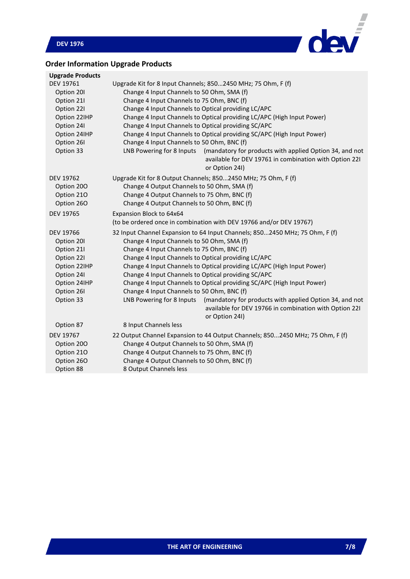

# **Order Information Upgrade Products**

| <b>Upgrade Products</b> |                                                                                                                                                                  |  |  |
|-------------------------|------------------------------------------------------------------------------------------------------------------------------------------------------------------|--|--|
| DEV 19761               | Upgrade Kit for 8 Input Channels; 8502450 MHz; 75 Ohm, F (f)                                                                                                     |  |  |
| Option 20I              | Change 4 Input Channels to 50 Ohm, SMA (f)                                                                                                                       |  |  |
| Option 21I              | Change 4 Input Channels to 75 Ohm, BNC (f)                                                                                                                       |  |  |
| Option 22I              | Change 4 Input Channels to Optical providing LC/APC                                                                                                              |  |  |
| Option 22IHP            | Change 4 Input Channels to Optical providing LC/APC (High Input Power)                                                                                           |  |  |
| Option 24I              | Change 4 Input Channels to Optical providing SC/APC                                                                                                              |  |  |
| Option 24IHP            | Change 4 Input Channels to Optical providing SC/APC (High Input Power)                                                                                           |  |  |
| Option 26I              | Change 4 Input Channels to 50 Ohm, BNC (f)                                                                                                                       |  |  |
| Option 33               | LNB Powering for 8 Inputs<br>(mandatory for products with applied Option 34, and not<br>available for DEV 19761 in combination with Option 221<br>or Option 24I) |  |  |
| DEV 19762               | Upgrade Kit for 8 Output Channels; 8502450 MHz; 75 Ohm, F (f)                                                                                                    |  |  |
| Option 200              | Change 4 Output Channels to 50 Ohm, SMA (f)                                                                                                                      |  |  |
| Option 210              | Change 4 Output Channels to 75 Ohm, BNC (f)                                                                                                                      |  |  |
| Option 26O              | Change 4 Output Channels to 50 Ohm, BNC (f)                                                                                                                      |  |  |
| <b>DEV 19765</b>        | Expansion Block to 64x64                                                                                                                                         |  |  |
|                         | (to be ordered once in combination with DEV 19766 and/or DEV 19767)                                                                                              |  |  |
| <b>DEV 19766</b>        | 32 Input Channel Expansion to 64 Input Channels; 8502450 MHz; 75 Ohm, F (f)                                                                                      |  |  |
| Option 20I              | Change 4 Input Channels to 50 Ohm, SMA (f)                                                                                                                       |  |  |
| Option 21I              | Change 4 Input Channels to 75 Ohm, BNC (f)                                                                                                                       |  |  |
| Option 22I              | Change 4 Input Channels to Optical providing LC/APC                                                                                                              |  |  |
| Option 22IHP            | Change 4 Input Channels to Optical providing LC/APC (High Input Power)                                                                                           |  |  |
| Option 24I              | Change 4 Input Channels to Optical providing SC/APC                                                                                                              |  |  |
| Option 24IHP            | Change 4 Input Channels to Optical providing SC/APC (High Input Power)                                                                                           |  |  |
| Option 26I              | Change 4 Input Channels to 50 Ohm, BNC (f)                                                                                                                       |  |  |
| Option 33               | LNB Powering for 8 Inputs<br>(mandatory for products with applied Option 34, and not<br>available for DEV 19766 in combination with Option 221<br>or Option 24I) |  |  |
| Option 87               | 8 Input Channels less                                                                                                                                            |  |  |
| <b>DEV 19767</b>        | 22 Output Channel Expansion to 44 Output Channels; 8502450 MHz; 75 Ohm, F (f)                                                                                    |  |  |
| Option 200              | Change 4 Output Channels to 50 Ohm, SMA (f)                                                                                                                      |  |  |
| Option 210              | Change 4 Output Channels to 75 Ohm, BNC (f)                                                                                                                      |  |  |
| Option 26O              | Change 4 Output Channels to 50 Ohm, BNC (f)                                                                                                                      |  |  |
| Option 88               | 8 Output Channels less                                                                                                                                           |  |  |